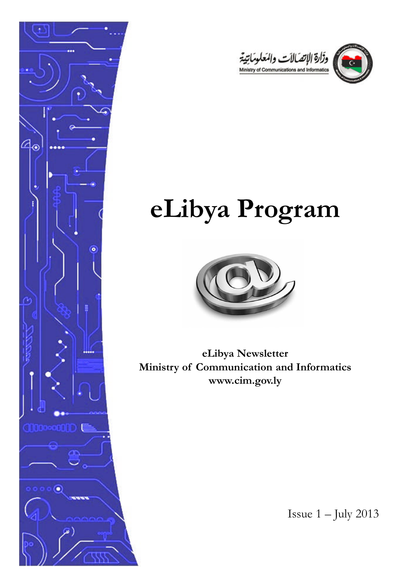



# **eLibya Program**



**eLibya Newsletter Ministry of Communication and Informatics www.cim.gov.ly**

Issue  $1 -$  July 2013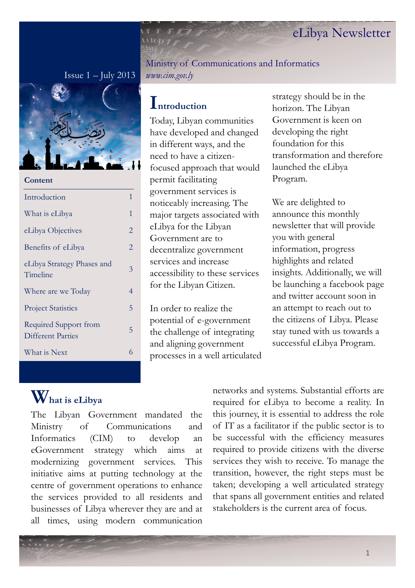#### Issue  $1 -$  July 2013



**Content**

| Introduction                                      | 1 |
|---------------------------------------------------|---|
| What is eLibya                                    | 1 |
| eLibya Objectives                                 | 2 |
| Benefits of eLibya                                | 2 |
| eLibya Strategy Phases and<br>Timeline            | 3 |
| Where are we Today                                | 4 |
| <b>Project Statistics</b>                         | 5 |
| Required Support from<br><b>Different Parties</b> | 5 |
| What is Next                                      | 6 |
|                                                   |   |

Ministry of Communications and Informatics *www.cim.gov.ly*

### **Introduction**

Today, Libyan communities have developed and changed in different ways, and the need to have a citizenfocused approach that would permit facilitating government services is noticeably increasing. The major targets associated with eLibya for the Libyan Government are to decentralize government services and increase accessibility to these services for the Libyan Citizen.

In order to realize the potential of e-government the challenge of integrating and aligning government processes in a well articulated

strategy should be in the horizon. The Libyan Government is keen on developing the right foundation for this transformation and therefore launched the eLibya Program.

We are delighted to announce this monthly newsletter that will provide you with general information, progress highlights and related insights. Additionally, we will be launching a facebook page and twitter account soon in an attempt to reach out to the citizens of Libya. Please stay tuned with us towards a successful eLibya Program.

# **What is eLibya**

The Libyan Government mandated the Ministry of Communications and Informatics (CIM) to develop an eGovernment strategy which aims at modernizing government services. This initiative aims at putting technology at the centre of government operations to enhance the services provided to all residents and businesses of Libya wherever they are and at all times, using modern communication

networks and systems. Substantial efforts are required for eLibya to become a reality. In this journey, it is essential to address the role of IT as a facilitator if the public sector is to be successful with the efficiency measures required to provide citizens with the diverse services they wish to receive. To manage the transition, however, the right steps must be taken; developing a well articulated strategy that spans all government entities and related stakeholders is the current area of focus.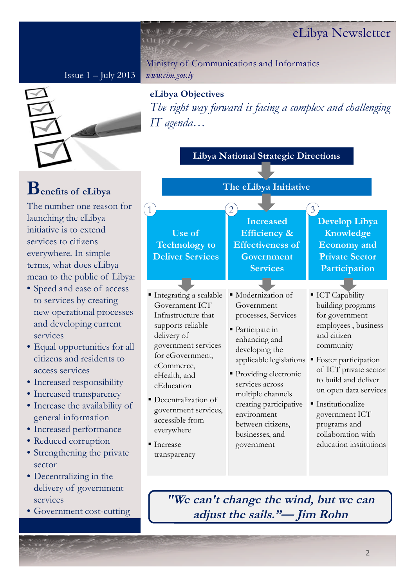Issue  $1 -$  July 2013

Ministry of Communications and Informatics *www.cim.gov.ly*



#### **eLibya Objectives**

T F T P

WEILT

*The right way forward is facing a complex and challenging IT agenda…*

**Libya National Strategic Directions**

# **Benefits of eLibya**

The number one reason for launching the eLibya initiative is to extend services to citizens everywhere. In simple terms, what does eLibya mean to the public of Libya:

- Speed and ease of access to services by creating new operational processes and developing current services
- Equal opportunities for all citizens and residents to access services
- Increased responsibility
- Increased transparency
- Increase the availability of general information
- Increased performance
- Reduced corruption
- Strengthening the private sector
- Decentralizing in the delivery of government services
- Government cost-cutting

**The eLibya Initiative Use of Technology to Deliver Services Develop Libya Knowledge Economy and Private Sector Participation Increased Efficiency & Effectiveness of Government Services**  $\begin{array}{|c|c|c|c|}\n\hline\n1 & 3 \\
\hline\n\end{array}$ ■ Modernization of Government processes, Services ■ Participate in enhancing and developing the applicable legislations ■ Providing electronic services across multiple channels creating participative environment between citizens, businesses, and government of ICT private sector on open data services **ICT** Capability building programs for government employees , business and citizen community Foster participation to build and deliver **Institutionalize** government ICT programs and collaboration with education institutions Integrating a scalable Government ICT Infrastructure that supports reliable delivery of government services for eGovernment, eCommerce, eHealth, and eEducation Decentralization of government services, accessible from everywhere **Increase** transparency

**"We can't change the wind, but we can adjust the sails."— Jim Rohn**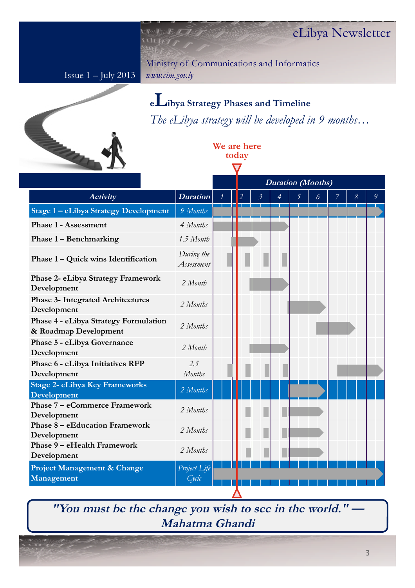Issue 1 – July 2013

 $\mathbb{R} \times \mathbb{R}$ WERE

> Ministry of Communications and Informatics *www.cim.gov.ly*

> > **We are here today**

> > > $\bm{\nabla}$



### **<sup>e</sup>Libya Strategy Phases and Timeline** *The eLibya strategy will be developed in 9 months…*

|                                                                |                          |                | <b>Duration</b> (Months) |                |                |   |                |   |                   |               |
|----------------------------------------------------------------|--------------------------|----------------|--------------------------|----------------|----------------|---|----------------|---|-------------------|---------------|
| <b>Activity</b>                                                | <b>Duration</b>          | $\overline{2}$ |                          | $\mathfrak{Z}$ | $\overline{4}$ | 5 | $\overline{6}$ | 7 | $\mathcal{S}_{0}$ | $\mathcal{G}$ |
| Stage 1 - eLibya Strategy Development                          | 9 Months                 |                |                          |                |                |   |                |   |                   |               |
| <b>Phase 1 - Assessment</b>                                    | 4 Months                 |                |                          |                |                |   |                |   |                   |               |
| Phase 1 – Benchmarking                                         | 1.5 Month                |                |                          |                |                |   |                |   |                   |               |
| Phase 1 – Quick wins Identification                            | During the<br>Assessment |                |                          |                |                |   |                |   |                   |               |
| Phase 2- eLibya Strategy Framework<br>Development              | 2 Month                  |                |                          |                |                |   |                |   |                   |               |
| <b>Phase 3- Integrated Architectures</b><br>Development        | 2 Months                 |                |                          |                |                |   |                |   |                   |               |
| Phase 4 - eLibya Strategy Formulation<br>& Roadmap Development | 2 Months                 |                |                          |                |                |   |                |   |                   |               |
| Phase 5 - eLibya Governance<br>Development                     | 2 Month                  |                |                          |                |                |   |                |   |                   |               |
| Phase 6 - eLibya Initiatives RFP<br>Development                | 2.5<br><b>Months</b>     |                |                          |                |                |   |                |   |                   |               |
| Stage 2- eLibya Key Frameworks<br>Development                  | 2 Months                 |                |                          |                |                |   |                |   |                   |               |
| <b>Phase 7 – eCommerce Framework</b><br>Development            | 2 Months                 |                |                          |                |                |   |                |   |                   |               |
| <b>Phase 8 – eEducation Framework</b><br>Development           | 2 Months                 |                |                          |                |                |   |                |   |                   |               |
| Phase 9 - eHealth Framework<br>Development                     | 2 Months                 |                |                          |                |                |   |                |   |                   |               |
| Project Management & Change<br>Management                      | Project Life<br>Cycle    |                |                          |                |                |   |                |   |                   |               |
|                                                                |                          |                |                          |                |                |   |                |   |                   |               |

"You must be the change you wish to see in the world."  $-$ **Mahatma Ghandi**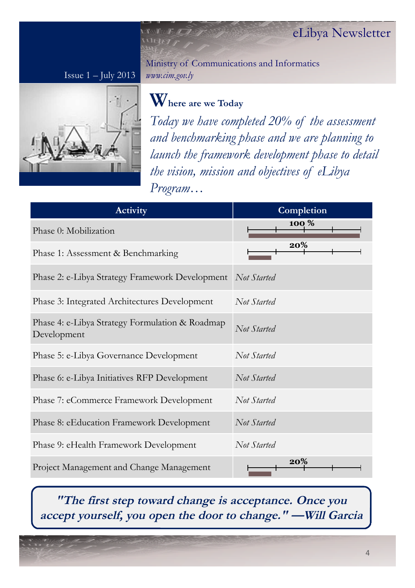Issue  $1 -$  July 2013



Ministry of Communications and Informatics *www.cim.gov.ly*

## **Where are we Today**

 $U$ F $(t)$ 

*Today we have completed 20% of the assessment and benchmarking phase and we are planning to launch the framework development phase to detail the vision, mission and objectives of eLibya Program…*

| <b>Activity</b>                                                | Completion  |
|----------------------------------------------------------------|-------------|
| Phase 0: Mobilization                                          | 100 %       |
| Phase 1: Assessment & Benchmarking                             | 20%         |
| Phase 2: e-Libya Strategy Framework Development                | Not Started |
| Phase 3: Integrated Architectures Development                  | Not Started |
| Phase 4: e-Libya Strategy Formulation & Roadmap<br>Development | Not Started |
| Phase 5: e-Libya Governance Development                        | Not Started |
| Phase 6: e-Libya Initiatives RFP Development                   | Not Started |
| Phase 7: eCommerce Framework Development                       | Not Started |
| Phase 8: eEducation Framework Development                      | Not Started |
| Phase 9: eHealth Framework Development                         | Not Started |
| Project Management and Change Management                       | 20%         |

### **"The first step toward change is acceptance. Once you accept yourself, you open the door to change." —Will Garcia**